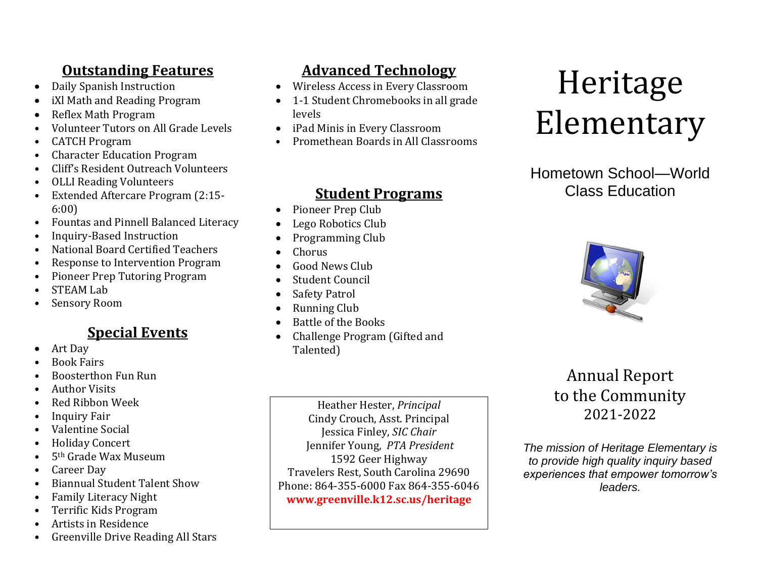# **Outstanding Features**

- Daily Spanish Instruction
- iXl Math and Reading Program
- Reflex Math Program
- Volunteer Tutors on All Grade Levels
- CATCH Program
- Character Education Program
- Cliff's Resident Outreach Volunteers
- OLLI Reading Volunteers
- Extended Aftercare Program (2:15- 6:00)
- Fountas and Pinnell Balanced Literacy
- Inquiry-Based Instruction
- National Board Certified Teachers
- Response to Intervention Program
- Pioneer Prep Tutoring Program
- STEAM Lab
- Sensory Room

## **Special Events**

- Art Day
- Book Fairs
- Boosterthon Fun Run
- Author Visits
- Red Ribbon Week
- Inquiry Fair
- Valentine Social
- Holiday Concert
- 5th Grade Wax Museum
- Career Day
- Biannual Student Talent Show
- Family Literacy Night
- Terrific Kids Program
- Artists in Residence
- Greenville Drive Reading All Stars

# **Advanced Technology**

- Wireless Access in Every Classroom
- 1-1 Student Chromebooks in all grade levels
- iPad Minis in Every Classroom
- Promethean Boards in All Classrooms

### **Student Programs**

- Pioneer Prep Club
- Lego Robotics Club
- Programming Club
- Chorus
- Good News Club
- Student Council
- Safety Patrol
- Running Club
- Battle of the Books
- Challenge Program (Gifted and Talented)

Heather Hester, *Principal* Cindy Crouch, Asst. Principal Jessica Finley, *SIC Chair* Jennifer Young, *PTA President* 1592 Geer Highway Travelers Rest, South Carolina 29690 Phone: 864-355-6000 Fax 864-355-6046 **www.greenville.k12.sc.us/heritage**

# Heritage Elementary

## Hometown School—World Class Education



# Annual Report to the Community 2021-2022

*The mission of Heritage Elementary is to provide high quality inquiry based experiences that empower tomorrow's leaders.*